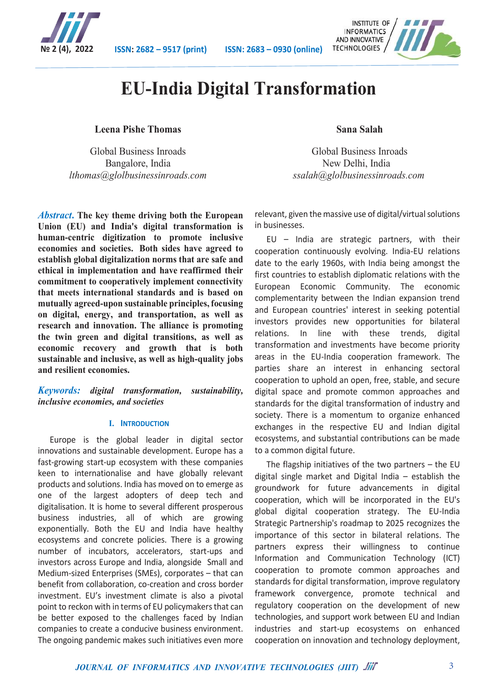

**№ 2 (4), 2022 ISSN: 2682 – 9517 (print) ISSN: 2683 – 0930 (online)**



### **EU-India Digital Transformation**

#### **Leena Pishe Thomas**

Global Business Inroads Bangalore, India *lthomas@glolbusinessinroads.com*

*Abstract***. The key theme driving both the European Union (EU) and India's digital transformation is human-centric digitization to promote inclusive economies and societies. Both sides have agreed to establish global digitalization norms that are safe and ethical in implementation and have reaffirmed their commitment to cooperatively implement connectivity that meets international standards and is based on mutually agreed-upon sustainable principles, focusing on digital, energy, and transportation, as well as research and innovation. The alliance is promoting the twin green and digital transitions, as well as economic recovery and growth that is both sustainable and inclusive, as well as high-quality jobs and resilient economies.**

#### *Keywords: digital transformation, sustainability, inclusive economies, and societies*

#### **I. INTRODUCTION**

Europe is the global leader in digital sector innovations and sustainable development. Europe has a fast-growing start-up ecosystem with these companies keen to internationalise and have globally relevant products and solutions. India has moved on to emerge as one of the largest adopters of deep tech and digitalisation. It is home to several different prosperous business industries, all of which are growing exponentially. Both the EU and India have healthy ecosystems and concrete policies. There is a growing number of incubators, accelerators, start-ups and investors across Europe and India, alongside Small and Medium-sized Enterprises (SMEs), corporates – that can benefit from collaboration, co-creation and cross border investment. EU's investment climate is also a pivotal point to reckon with in terms of EU policymakers that can be better exposed to the challenges faced by Indian companies to create a conducive business environment. The ongoing pandemic makes such initiatives even more

#### **Sana Salah**

Global Business Inroads New Delhi, India *ssalah@glolbusinessinroads.com*

relevant, given the massive use of digital/virtual solutions in businesses.

EU – India are strategic partners, with their cooperation continuously evolving. India-EU relations date to the early 1960s, with India being amongst the first countries to establish diplomatic relations with the European Economic Community. The economic complementarity between the Indian expansion trend and European countries' interest in seeking potential investors provides new opportunities for bilateral relations. In line with these trends, digital transformation and investments have become priority areas in the EU-India cooperation framework. The parties share an interest in enhancing sectoral cooperation to uphold an open, free, stable, and secure digital space and promote common approaches and standards for the digital transformation of industry and society. There is a momentum to organize enhanced exchanges in the respective EU and Indian digital ecosystems, and substantial contributions can be made to a common digital future.

The flagship initiatives of the two partners  $-$  the EU digital single market and Digital India – establish the groundwork for future advancements in digital cooperation, which will be incorporated in the EU's global digital cooperation strategy. The EU-India Strategic Partnership's roadmap to 2025 recognizes the importance of this sector in bilateral relations. The partners express their willingness to continue Information and Communication Technology (ICT) cooperation to promote common approaches and standards for digital transformation, improve regulatory framework convergence, promote technical and regulatory cooperation on the development of new technologies, and support work between EU and Indian industries and start-up ecosystems on enhanced cooperation on innovation and technology deployment,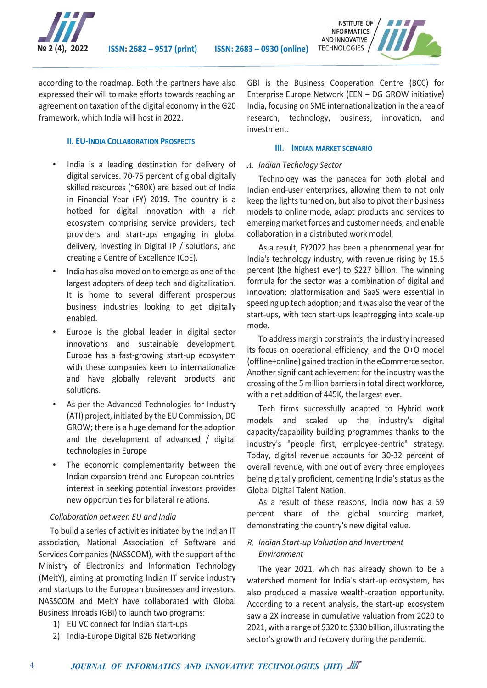

according to the roadmap. Both the partners have also expressed their will to make efforts towards reaching an agreement on taxation of the digital economy in the G20 framework, which India will host in 2022.

#### **II. EU-INDIA COLLABORATION PROSPECTS**

- India is a leading destination for delivery of digital services. 70-75 percent of global digitally skilled resources (~680K) are based out of India in Financial Year (FY) 2019. The country is a hotbed for digital innovation with a rich ecosystem comprising service providers, tech providers and start-ups engaging in global delivery, investing in Digital IP / solutions, and creating a Centre of Excellence (CoE).
- India has also moved on to emerge as one of the largest adopters of deep tech and digitalization. It is home to several different prosperous business industries looking to get digitally enabled.
- Europe is the global leader in digital sector innovations and sustainable development. Europe has a fast-growing start-up ecosystem with these companies keen to internationalize and have globally relevant products and solutions.
- As per the Advanced Technologies for Industry (ATI) project, initiated by the EU Commission, DG GROW; there is a huge demand for the adoption and the development of advanced / digital technologies in Europe
- The economic complementarity between the Indian expansion trend and European countries' interest in seeking potential investors provides new opportunities for bilateral relations.

#### *Collaboration between EU and India*

To build a series of activities initiated by the Indian IT association, National Association of Software and Services Companies (NASSCOM), with the support of the Ministry of Electronics and Information Technology (MeitY), aiming at promoting Indian IT service industry and startups to the European businesses and investors. NASSCOM and MeitY have collaborated with Global Business Inroads (GBI) to launch two programs:

1) EU VC connect for Indian start-ups

4

2) India-Europe Digital B2B Networking

GBI is the Business Cooperation Centre (BCC) for Enterprise Europe Network (EEN – DG GROW initiative) India, focusing on SME internationalization in the area of research, technology, business, innovation, and investment.

#### **III. INDIAN MARKET SCENARIO**

#### *A. Indian Techology Sector*

Technology was the panacea for both global and Indian end-user enterprises, allowing them to not only keep the lights turned on, but also to pivot their business models to online mode, adapt products and services to emerging market forces and customer needs, and enable collaboration in a distributed work model.

As a result, FY2022 has been a phenomenal year for India's technology industry, with revenue rising by 15.5 percent (the highest ever) to \$227 billion. The winning formula for the sector was a combination of digital and innovation; platformisation and SaaS were essential in speeding up tech adoption; and it was also the year of the start-ups, with tech start-ups leapfrogging into scale-up mode.

To address margin constraints, the industry increased its focus on operational efficiency, and the O+O model (offline+online) gained traction in the eCommerce sector. Another significant achievement for the industry was the crossing of the 5 million barriers in total direct workforce, with a net addition of 445K, the largest ever.

Tech firms successfully adapted to Hybrid work models and scaled up the industry's digital capacity/capability building programmes thanks to the industry's "people first, employee-centric" strategy. Today, digital revenue accounts for 30-32 percent of overall revenue, with one out of every three employees being digitally proficient, cementing India's status as the Global Digital Talent Nation.

As a result of these reasons, India now has a 59 percent share of the global sourcing market, demonstrating the country's new digital value.

#### *B. Indian Start-up Valuation and Investment Environment*

The year 2021, which has already shown to be a watershed moment for India's start-up ecosystem, has also produced a massive wealth-creation opportunity. According to a recent analysis, the start-up ecosystem saw a 2X increase in cumulative valuation from 2020 to 2021, with a range of \$320 to \$330 billion, illustrating the sector's growth and recovery during the pandemic.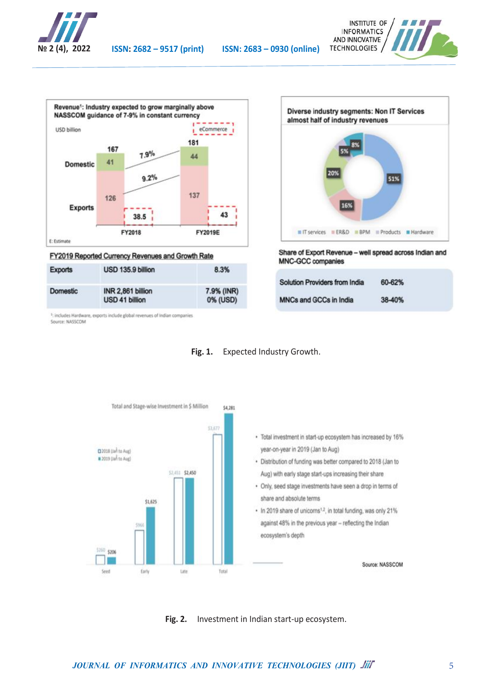





FY2019 Reported Currency Revenues and Growth Rate

| <b>Exports</b> | USD 135.9 billion                   | 8.3%                   |
|----------------|-------------------------------------|------------------------|
| Domestic       | INR 2,861 billion<br>USD 41 billion | 7.9% (INR)<br>0% (USD) |

<sup>1</sup>: includes Hardware, exports include global revenues of Indian companies<br>Source: NASSCOM



Share of Export Revenue - well spread across Indian and **MNC-GCC companies** 

| <b>Solution Providers from India</b> | 60-62% |  |
|--------------------------------------|--------|--|
| <b>MNCs and GCCs in India</b>        | 38-40% |  |





**Fig. 2.** Investment in Indian start-up ecosystem.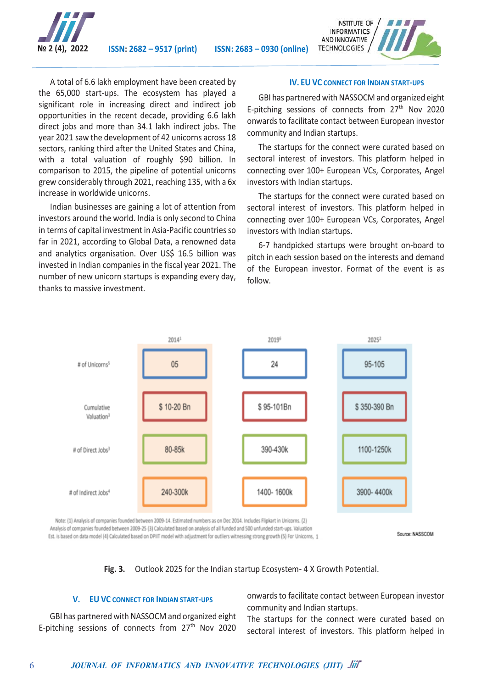

**№ 2 (4), 2022 ISSN: 2682 – 9517 (print) ISSN: 2683 – 0930 (online)**



A total of 6.6 lakh employment have been created by the 65,000 start-ups. The ecosystem has played a significant role in increasing direct and indirect job opportunities in the recent decade, providing 6.6 lakh direct jobs and more than 34.1 lakh indirect jobs. The year 2021 saw the development of 42 unicorns across 18 sectors, ranking third after the United States and China, with a total valuation of roughly \$90 billion. In comparison to 2015, the pipeline of potential unicorns grew considerably through 2021, reaching 135, with a 6x increase in worldwide unicorns.

Indian businesses are gaining a lot of attention from investors around the world. India is only second to China in terms of capital investment in Asia-Pacific countries so far in 2021, according to Global Data, a renowned data and analytics organisation. Over US\$ 16.5 billion was invested in Indian companies in the fiscal year 2021. The number of new unicorn startups is expanding every day, thanks to massive investment.

#### **IV. EU VC CONNECT FOR INDIAN START-UPS**

GBI has partnered with NASSOCM and organized eight E-pitching sessions of connects from  $27<sup>th</sup>$  Nov 2020 onwards to facilitate contact between European investor community and Indian startups.

The startups for the connect were curated based on sectoral interest of investors. This platform helped in connecting over 100+ European VCs, Corporates, Angel investors with Indian startups.

The startups for the connect were curated based on sectoral interest of investors. This platform helped in connecting over 100+ European VCs, Corporates, Angel investors with Indian startups.

6-7 handpicked startups were brought on-board to pitch in each session based on the interests and demand of the European investor. Format of the event is as follow.



Note: (1) Analysis of companies founded between 2009-14. Estimated numbers as on Dec 2014. Includes Flipkart in Unicorns. (2) Analysis of companies founded between 2009-25 (3) Calculated based on analysis of all funded and 500 unfunded start-ups. Valuation Est. is based on data model (4) Calculated based on DPIIT model with adjustment for outliers witnessing strong growth (5) For Unicorns, 1

Source: NASSCOM

**Fig. 3.** Outlook 2025 for the Indian startup Ecosystem- 4 X Growth Potential.

#### **V. EU VC CONNECT FOR INDIAN START-UPS**

GBI has partnered with NASSOCM and organized eight E-pitching sessions of connects from 27<sup>th</sup> Nov 2020

6

onwards to facilitate contact between European investor community and Indian startups.

The startups for the connect were curated based on sectoral interest of investors. This platform helped in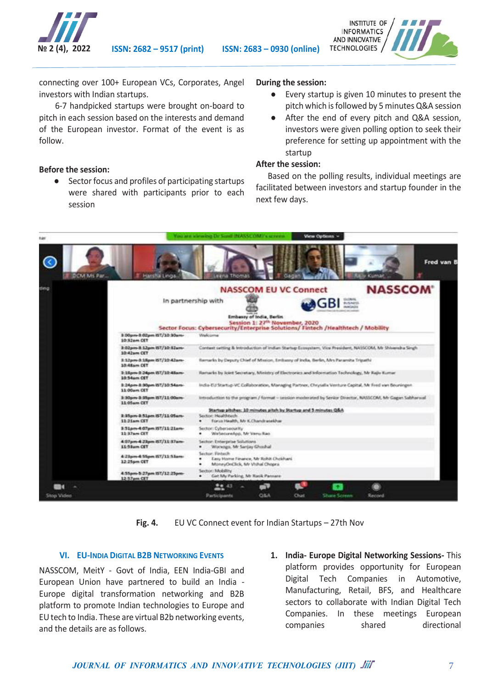

**№ 2 (4), 2022 ISSN: 2682 – 9517 (print) ISSN: 2683 – 0930 (online)**



connecting over 100+ European VCs, Corporates, Angel investors with Indian startups.

 6-7 handpicked startups were brought on-board to pitch in each session based on the interests and demand of the European investor. Format of the event is as follow.

#### **Before the session:**

● Sector focus and profiles of participating startups were shared with participants prior to each session

#### **During the session:**

- Every startup is given 10 minutes to present the pitch which is followed by 5 minutes Q&A session
- After the end of every pitch and Q&A session, investors were given polling option to seek their preference for setting up appointment with the startup

#### **After the session:**

Based on the polling results, individual meetings are facilitated between investors and startup founder in the next few days.



**Fig. 4.** EU VC Connect event for Indian Startups – 27th Nov

#### **VI. EU-INDIA DIGITAL B2B NETWORKING EVENTS**

NASSCOM, MeitY - Govt of India, EEN India-GBI and European Union have partnered to build an India - Europe digital transformation networking and B2B platform to promote Indian technologies to Europe and EU tech to India. These are virtual B2b networking events, and the details are as follows.

**1. India- Europe Digital Networking Sessions-** This platform provides opportunity for European Digital Tech Companies in Automotive, Manufacturing, Retail, BFS, and Healthcare sectors to collaborate with Indian Digital Tech Companies. In these meetings European companies shared directional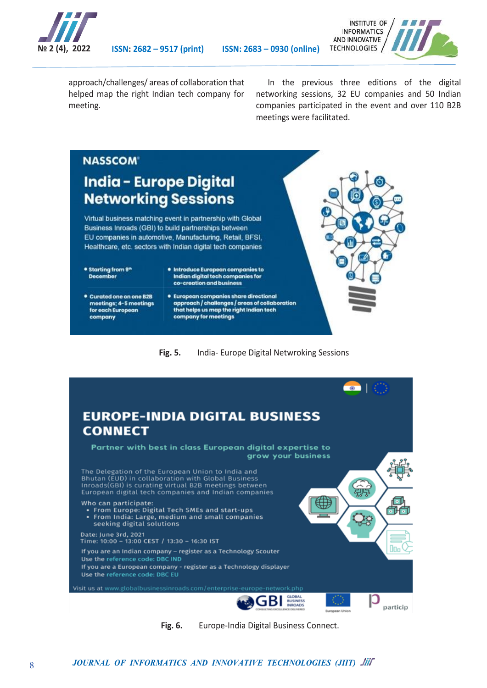



approach/challenges/ areas of collaboration that helped map the right Indian tech company for meeting.

In the previous three editions of the digital networking sessions, 32 EU companies and 50 Indian companies participated in the event and over 110 B2B meetings were facilitated.

# **NASSCOM®**

### **India - Europe Digital Networking Sessions**

Virtual business matching event in partnership with Global Business Inroads (GBI) to build partnerships between EU companies in automotive, Manufacturing, Retail, BFSI, Healthcare, etc. sectors with Indian digital tech companies

- \* Starting from 9<sup>th</sup> **December**
- · Introduce European companies to Indian digital tech companies for co-creation and business
- **Curated one on one B2B** meetings; 4-5 meetings<br>for each European company
- · European companies share directional European companies snare airectional<br>approach / challenges / areas of collaboration<br>that helps us map the right Indian tech company for meetings

**Fig. 5.** India- Europe Digital Netwroking Sessions



**Fig. 6.** Europe-India Digital Business Connect.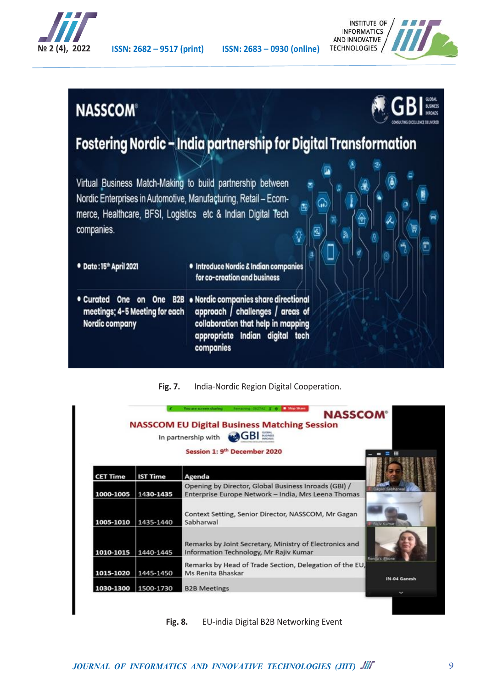



### **NASSCOM®**



## Fostering Nordic - India partnership for Digital Transformation

| Virtual Business Match-Making to build partnership between<br>Nordic Enterprises in Automotive, Manufacturing, Retail - Ecom-<br>merce, Healthcare, BFSI, Logistics etc & Indian Digital Tech<br>companies. | s                                                                                                           |
|-------------------------------------------------------------------------------------------------------------------------------------------------------------------------------------------------------------|-------------------------------------------------------------------------------------------------------------|
| · Date: 15th April 2021                                                                                                                                                                                     | · Introduce Nordic & Indian companies<br>for co-creation and business                                       |
| • Curated<br>One                                                                                                                                                                                            | on One B2B . Nordic companies share directional<br>messiment & Elisating for each composed abeliance I wear |

meetings; 4-5 Meeting for each approach / challenges / collaboration that help in mapping Nordic company appropriate Indian digital tech companies

#### **Fig. 7.** India-Nordic Region Digital Cooperation.

|                 |                 | In partnership with $\bigoplus_{n \in \mathbb{N}} GB$<br>Session 1: 9 <sup>th</sup> December 2020                            |
|-----------------|-----------------|------------------------------------------------------------------------------------------------------------------------------|
| <b>CET Time</b> | <b>IST Time</b> | Agenda                                                                                                                       |
| 1000-1005       | 1430-1435       | Opening by Director, Global Business Inroads (GBI) /<br>agan Sabharwa<br>Enterprise Europe Network - India, Mrs Leena Thomas |
| 1005-1010       | 1435-1440       | Context Setting, Senior Director, NASSCOM, Mr Gagan<br>Sabharwal<br>Ra iv Kumar                                              |
| 1010-1015       | 1440-1445       | Remarks by Joint Secretary, Ministry of Electronics and<br>Information Technology, Mr Rajiv Kumar                            |
| 1015-1020       | 1445-1450       | Renda's illhone<br>Remarks by Head of Trade Section, Delegation of the EU,<br>Ms Renita Bhaskar                              |
| 1030-1300       | 1500-1730       | IN-04 Ganesh<br><b>B2B Meetings</b>                                                                                          |

**Fig. 8.** EU-india Digital B2B Networking Event